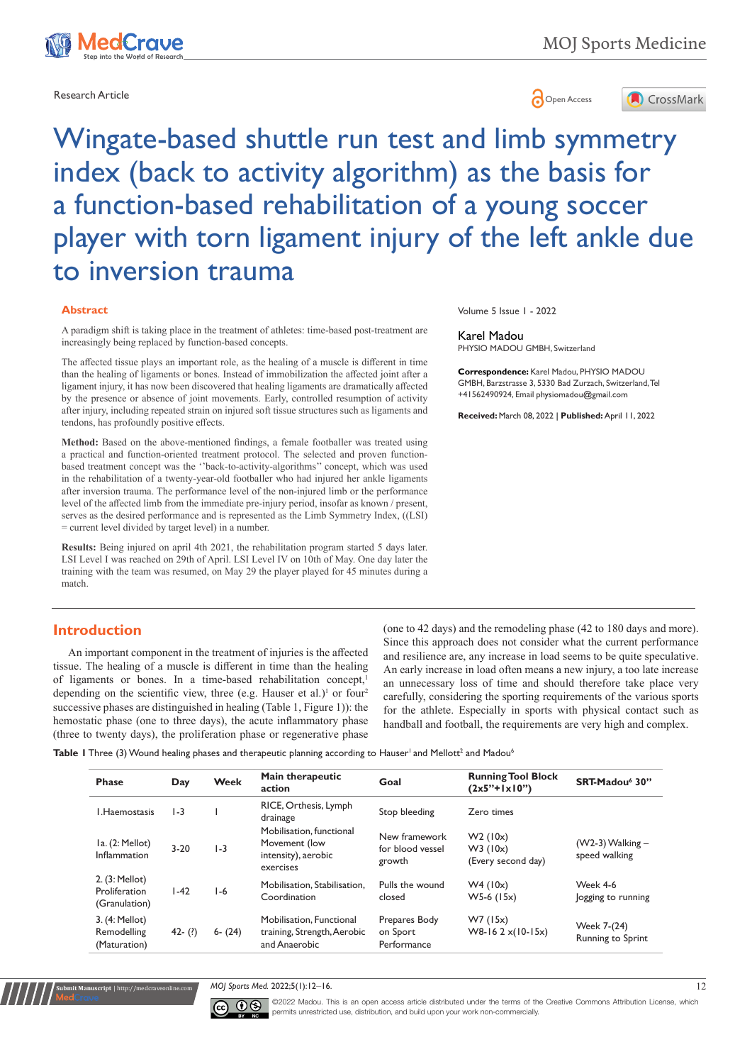

Research Article **Contracts and Contracts and Contracts and Contracts and Contracts and Contracts and Copen Access** 



Wingate-based shuttle run test and limb symmetry index (back to activity algorithm) as the basis for a function-based rehabilitation of a young soccer player with torn ligament injury of the left ankle due to inversion trauma

### **Abstract**

A paradigm shift is taking place in the treatment of athletes: time-based post-treatment are increasingly being replaced by function-based concepts.

The affected tissue plays an important role, as the healing of a muscle is different in time than the healing of ligaments or bones. Instead of immobilization the affected joint after a ligament injury, it has now been discovered that healing ligaments are dramatically affected by the presence or absence of joint movements. Early, controlled resumption of activity after injury, including repeated strain on injured soft tissue structures such as ligaments and tendons, has profoundly positive effects.

**Method:** Based on the above-mentioned findings, a female footballer was treated using a practical and function-oriented treatment protocol. The selected and proven functionbased treatment concept was the ''back-to-activity-algorithms'' concept, which was used in the rehabilitation of a twenty-year-old footballer who had injured her ankle ligaments after inversion trauma. The performance level of the non-injured limb or the performance level of the affected limb from the immediate pre-injury period, insofar as known / present, serves as the desired performance and is represented as the Limb Symmetry Index, ((LSI) = current level divided by target level) in a number.

**Results:** Being injured on april 4th 2021, the rehabilitation program started 5 days later. LSI Level I was reached on 29th of April. LSI Level IV on 10th of May. One day later the training with the team was resumed, on May 29 the player played for 45 minutes during a match.

Volume 5 Issue 1 - 2022

## Karel Madou

PHYSIO MADOU GMBH, Switzerland

**Correspondence:** Karel Madou, PHYSIO MADOU GMBH, Barzstrasse 3, 5330 Bad Zurzach, Switzerland, Tel +41562490924, Email physiomadou@gmail.com

**Received:** March 08, 2022 | **Published:** April 11, 2022

## **Introduction**

**Submit Manuscript** | http://medcraveonline.com

An important component in the treatment of injuries is the affected tissue. The healing of a muscle is different in time than the healing of ligaments or bones. In a time-based rehabilitation concept,<sup>1</sup> depending on the scientific view, three (e.g. Hauser et al.)<sup>1</sup> or four<sup>2</sup> successive phases are distinguished in healing (Table 1, Figure 1)): the hemostatic phase (one to three days), the acute inflammatory phase (three to twenty days), the proliferation phase or regenerative phase (one to 42 days) and the remodeling phase (42 to 180 days and more). Since this approach does not consider what the current performance and resilience are, any increase in load seems to be quite speculative. An early increase in load often means a new injury, a too late increase an unnecessary loss of time and should therefore take place very carefully, considering the sporting requirements of the various sports for the athlete. Especially in sports with physical contact such as handball and football, the requirements are very high and complex.

Table I Three (3) Wound healing phases and therapeutic planning according to Hauser<sup>1</sup> and Mellott<sup>2</sup> and Madou<sup>6</sup>

| <b>Phase</b>                                     | Day        | Week       | Main therapeutic<br>action                                                    | Goal                                        | <b>Running Tool Block</b><br>$(2x5''+ x 0'')$   | SRT-Madou <sup>6</sup> 30"            |
|--------------------------------------------------|------------|------------|-------------------------------------------------------------------------------|---------------------------------------------|-------------------------------------------------|---------------------------------------|
| L.Haemostasis                                    | $1-3$      |            | RICE, Orthesis, Lymph<br>drainage                                             | Stop bleeding                               | Zero times                                      |                                       |
| Ia. (2: Mellot)<br>Inflammation                  | $3 - 20$   | $1-3$      | Mobilisation, functional<br>Movement (low<br>intensity), aerobic<br>exercises | New framework<br>for blood vessel<br>growth | W2(10x)<br>$W3$ ( $10x$ )<br>(Every second day) | $(W2-3)$ Walking $-$<br>speed walking |
| 2. (3: Mellot)<br>Proliferation<br>(Granulation) | $1-42$     | l -6       | Mobilisation, Stabilisation,<br>Coordination                                  | Pulls the wound<br>closed                   | W4 (10x)<br>$W5-6$ (15x)                        | Week 4-6<br>logging to running        |
| 3. (4: Mellot)<br>Remodelling<br>(Maturation)    | $42 -$ (?) | $6 - (24)$ | Mobilisation, Functional<br>training, Strength, Aerobic<br>and Anaerobic      | Prepares Body<br>on Sport<br>Performance    | $W7$ (15x)<br>$W8-162x(10-15x)$                 | Week 7-(24)<br>Running to Sprint      |

*MOJ Sports Med.* 2022;5(1):12–16. 12



©2022 Madou. This is an open access article distributed under the terms of the Creative Commons Attribution License, which permits unrestricted use, distribution, and build upon your work non-commercially.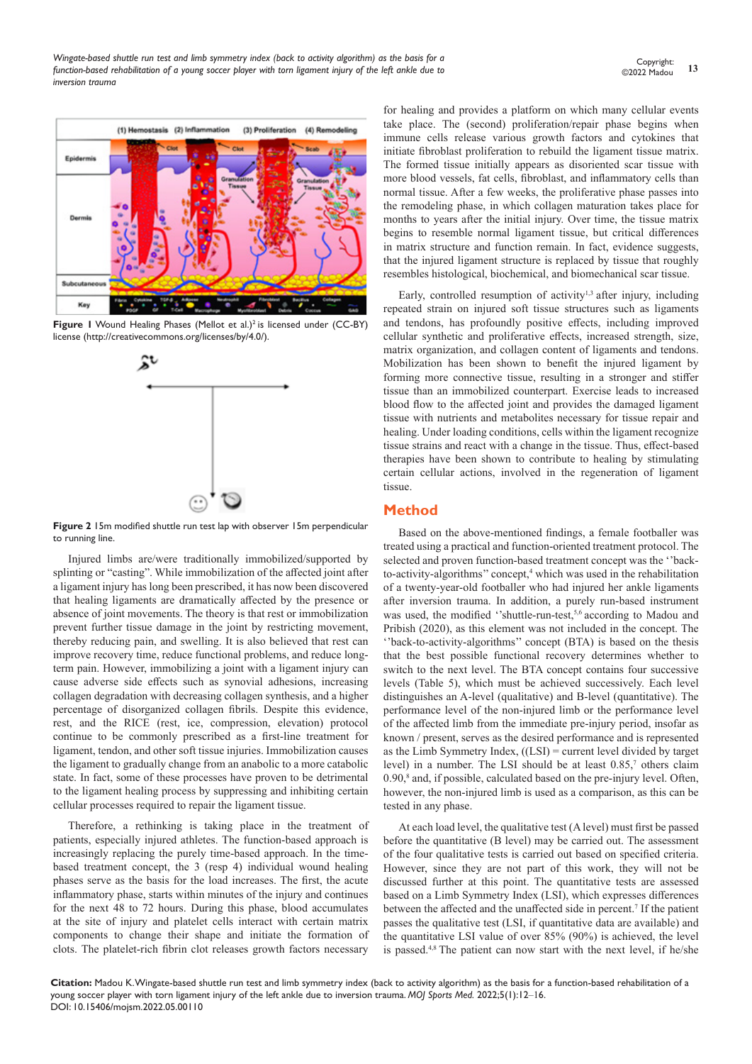

Figure 1 Wound Healing Phases (Mellot et al.)<sup>2</sup> is licensed under (CC-BY) license ([http://creativecommons.org/licenses/by/4.0/\)](http://creativecommons.org/licenses/by/4.0/).



**Figure 2** 15m modified shuttle run test lap with observer 15m perpendicular to running line.

Injured limbs are/were traditionally immobilized/supported by splinting or "casting". While immobilization of the affected joint after a ligament injury has long been prescribed, it has now been discovered that healing ligaments are dramatically affected by the presence or absence of joint movements. The theory is that rest or immobilization prevent further tissue damage in the joint by restricting movement, thereby reducing pain, and swelling. It is also believed that rest can improve recovery time, reduce functional problems, and reduce longterm pain. However, immobilizing a joint with a ligament injury can cause adverse side effects such as synovial adhesions, increasing collagen degradation with decreasing collagen synthesis, and a higher percentage of disorganized collagen fibrils. Despite this evidence, rest, and the RICE (rest, ice, compression, elevation) protocol continue to be commonly prescribed as a first-line treatment for ligament, tendon, and other soft tissue injuries. Immobilization causes the ligament to gradually change from an anabolic to a more catabolic state. In fact, some of these processes have proven to be detrimental to the ligament healing process by suppressing and inhibiting certain cellular processes required to repair the ligament tissue.

Therefore, a rethinking is taking place in the treatment of patients, especially injured athletes. The function-based approach is increasingly replacing the purely time-based approach. In the timebased treatment concept, the 3 (resp 4) individual wound healing phases serve as the basis for the load increases. The first, the acute inflammatory phase, starts within minutes of the injury and continues for the next 48 to 72 hours. During this phase, blood accumulates at the site of injury and platelet cells interact with certain matrix components to change their shape and initiate the formation of clots. The platelet-rich fibrin clot releases growth factors necessary

for healing and provides a platform on which many cellular events take place. The (second) proliferation/repair phase begins when immune cells release various growth factors and cytokines that initiate fibroblast proliferation to rebuild the ligament tissue matrix. The formed tissue initially appears as disoriented scar tissue with more blood vessels, fat cells, fibroblast, and inflammatory cells than normal tissue. After a few weeks, the proliferative phase passes into the remodeling phase, in which collagen maturation takes place for months to years after the initial injury. Over time, the tissue matrix begins to resemble normal ligament tissue, but critical differences in matrix structure and function remain. In fact, evidence suggests, that the injured ligament structure is replaced by tissue that roughly resembles histological, biochemical, and biomechanical scar tissue.

Early, controlled resumption of activity<sup>1,3</sup> after injury, including repeated strain on injured soft tissue structures such as ligaments and tendons, has profoundly positive effects, including improved cellular synthetic and proliferative effects, increased strength, size, matrix organization, and collagen content of ligaments and tendons. Mobilization has been shown to benefit the injured ligament by forming more connective tissue, resulting in a stronger and stiffer tissue than an immobilized counterpart. Exercise leads to increased blood flow to the affected joint and provides the damaged ligament tissue with nutrients and metabolites necessary for tissue repair and healing. Under loading conditions, cells within the ligament recognize tissue strains and react with a change in the tissue. Thus, effect-based therapies have been shown to contribute to healing by stimulating certain cellular actions, involved in the regeneration of ligament tissue.

# **Method**

Based on the above-mentioned findings, a female footballer was treated using a practical and function-oriented treatment protocol. The selected and proven function-based treatment concept was the ''backto-activity-algorithms" concept,<sup>4</sup> which was used in the rehabilitation of a twenty-year-old footballer who had injured her ankle ligaments after inversion trauma. In addition, a purely run-based instrument was used, the modified "shuttle-run-test,<sup>5,6</sup> according to Madou and Pribish (2020), as this element was not included in the concept. The ''back-to-activity-algorithms'' concept (BTA) is based on the thesis that the best possible functional recovery determines whether to switch to the next level. The BTA concept contains four successive levels (Table 5), which must be achieved successively. Each level distinguishes an A-level (qualitative) and B-level (quantitative). The performance level of the non-injured limb or the performance level of the affected limb from the immediate pre-injury period, insofar as known / present, serves as the desired performance and is represented as the Limb Symmetry Index,  $((LSI) =$  current level divided by target level) in a number. The LSI should be at least  $0.85$ ,<sup>7</sup> others claim 0.90,8 and, if possible, calculated based on the pre-injury level. Often, however, the non-injured limb is used as a comparison, as this can be tested in any phase.

At each load level, the qualitative test (A level) must first be passed before the quantitative (B level) may be carried out. The assessment of the four qualitative tests is carried out based on specified criteria. However, since they are not part of this work, they will not be discussed further at this point. The quantitative tests are assessed based on a Limb Symmetry Index (LSI), which expresses differences between the affected and the unaffected side in percent.<sup>7</sup> If the patient passes the qualitative test (LSI, if quantitative data are available) and the quantitative LSI value of over 85% (90%) is achieved, the level is passed.<sup>4,8</sup> The patient can now start with the next level, if he/she

**Citation:** Madou K. Wingate-based shuttle run test and limb symmetry index (back to activity algorithm) as the basis for a function-based rehabilitation of a young soccer player with torn ligament injury of the left ankle due to inversion trauma. *MOJ Sports Med.* 2022;5(1):12‒16. DOI: [10.15406/mojsm.2022.05.00110](https://doi.org/10.15406/mojsm.2022.05.00110)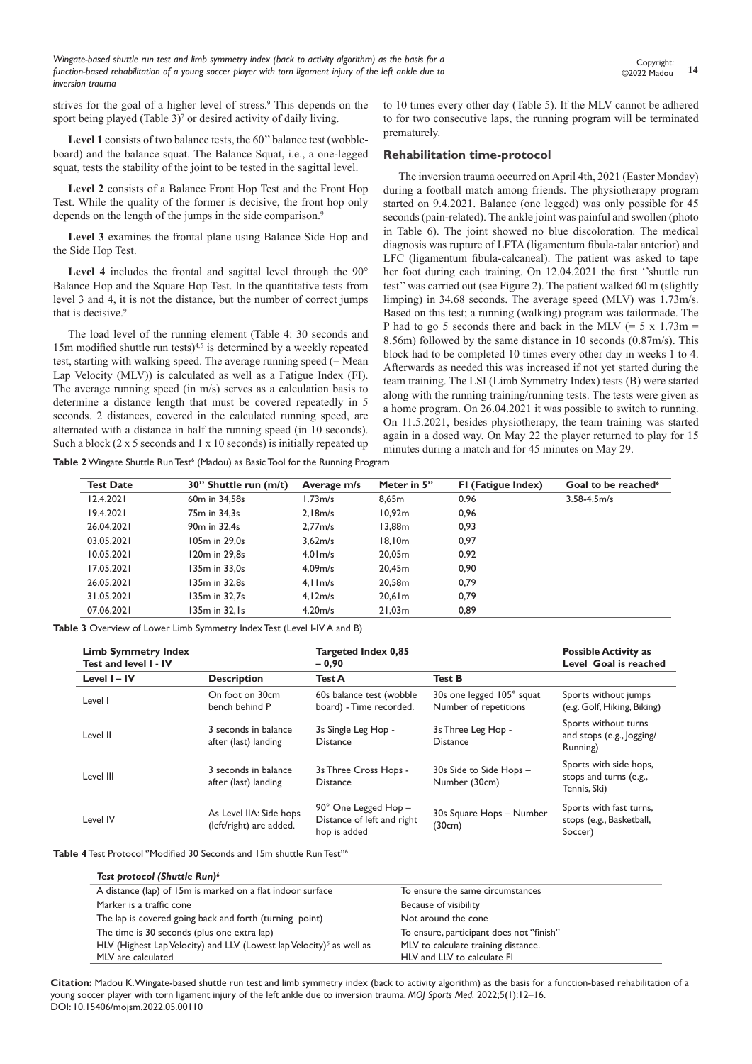*Wingate-based shuttle run test and limb symmetry index (back to activity algorithm) as the basis for a function-based rehabilitation of a young soccer player with torn ligament injury of the left ankle due to inversion trauma*

strives for the goal of a higher level of stress.<sup>9</sup> This depends on the sport being played (Table  $3$ )<sup>7</sup> or desired activity of daily living.

**Level 1** consists of two balance tests, the 60'' balance test (wobbleboard) and the balance squat. The Balance Squat, i.e., a one-legged squat, tests the stability of the joint to be tested in the sagittal level.

**Level 2** consists of a Balance Front Hop Test and the Front Hop Test. While the quality of the former is decisive, the front hop only depends on the length of the jumps in the side comparison.<sup>9</sup>

**Level 3** examines the frontal plane using Balance Side Hop and the Side Hop Test.

Level 4 includes the frontal and sagittal level through the 90° Balance Hop and the Square Hop Test. In the quantitative tests from level 3 and 4, it is not the distance, but the number of correct jumps that is decisive.<sup>9</sup>

The load level of the running element (Table 4: 30 seconds and 15m modified shuttle run tests) $4,5$  is determined by a weekly repeated test, starting with walking speed. The average running speed (= Mean Lap Velocity (MLV)) is calculated as well as a Fatigue Index (FI). The average running speed (in m/s) serves as a calculation basis to determine a distance length that must be covered repeatedly in 5 seconds. 2 distances, covered in the calculated running speed, are alternated with a distance in half the running speed (in 10 seconds). Such a block (2 x 5 seconds and 1 x 10 seconds) is initially repeated up to 10 times every other day (Table 5). If the MLV cannot be adhered to for two consecutive laps, the running program will be terminated prematurely.

#### **Rehabilitation time-protocol**

The inversion trauma occurred on April 4th, 2021 (Easter Monday) during a football match among friends. The physiotherapy program started on 9.4.2021. Balance (one legged) was only possible for 45 seconds (pain-related). The ankle joint was painful and swollen (photo in Table 6). The joint showed no blue discoloration. The medical diagnosis was rupture of LFTA (ligamentum fibula-talar anterior) and LFC (ligamentum fibula-calcaneal). The patient was asked to tape her foot during each training. On 12.04.2021 the first ''shuttle run test'' was carried out (see Figure 2). The patient walked 60 m (slightly limping) in 34.68 seconds. The average speed (MLV) was 1.73m/s. Based on this test; a running (walking) program was tailormade. The P had to go 5 seconds there and back in the MLV  $(= 5 \times 1.73 \text{m} =$ 8.56m) followed by the same distance in 10 seconds (0.87m/s). This block had to be completed 10 times every other day in weeks 1 to 4. Afterwards as needed this was increased if not yet started during the team training. The LSI (Limb Symmetry Index) tests (B) were started along with the running training/running tests. The tests were given as a home program. On 26.04.2021 it was possible to switch to running. On 11.5.2021, besides physiotherapy, the team training was started again in a dosed way. On May 22 the player returned to play for 15 minutes during a match and for 45 minutes on May 29.

Table 2 Wingate Shuttle Run Test<sup>6</sup> (Madou) as Basic Tool for the Running Program

| <b>Test Date</b> | 30" Shuttle run (m/t)    | Average m/s         | Meter in 5" | FI (Fatigue Index) | Goal to be reached <sup>6</sup> |
|------------------|--------------------------|---------------------|-------------|--------------------|---------------------------------|
| 12.4.2021        | 60m in 34,58s            | l.73m/s             | 8.65m       | 0.96               | $3.58 - 4.5m/s$                 |
| 19.4.2021        | 75m in 34.3s             | 2.18m/s             | 10.92m      | 0,96               |                                 |
| 26.04.2021       | 90 <sub>m</sub> in 32.4s | 2.77m/s             | l 3.88m     | 0,93               |                                 |
| 03.05.2021       | 105m in 29.0s            | 3,62m/s             | 18.10m      | 0,97               |                                 |
| 10.05.2021       | 120m in 29.8s            | 4.01 <sub>m/s</sub> | 20.05m      | 0.92               |                                 |
| 17.05.2021       | 135m in 33.0s            | 4.09 <sub>m/s</sub> | 20.45m      | 0.90               |                                 |
| 26.05.2021       | 135m in 32.8s            | $4.1 \mathrm{Im/s}$ | 20.58m      | 0,79               |                                 |
| 31.05.2021       | 135m in 32.7s            | 4.12m/s             | $20.6$ m    | 0.79               |                                 |
| 07.06.2021       | 135m in 32,1s            | 4,20m/s             | 21.03m      | 0,89               |                                 |

**Table 3** Overview of Lower Limb Symmetry Index Test (Level I-IV A and B)

| <b>Limb Symmetry Index</b><br>Test and level I - IV |                                                    | Targeted Index 0,85<br>$-0,90$                                     |                                                    | <b>Possible Activity as</b><br>Level Goal is reached             |
|-----------------------------------------------------|----------------------------------------------------|--------------------------------------------------------------------|----------------------------------------------------|------------------------------------------------------------------|
| Level $I - IV$                                      | <b>Description</b>                                 | <b>Test A</b>                                                      | <b>Test B</b>                                      |                                                                  |
| Level I                                             | On foot on 30cm<br>bench behind P                  | 60s balance test (wobble<br>board) - Time recorded.                | 30s one legged 105° squat<br>Number of repetitions | Sports without jumps<br>(e.g. Golf, Hiking, Biking)              |
| Level II                                            | 3 seconds in balance<br>after (last) landing       | 3s Single Leg Hop -<br><b>Distance</b>                             | 3s Three Leg Hop -<br><b>Distance</b>              | Sports without turns<br>and stops (e.g., logging/<br>Running)    |
| Level III                                           | 3 seconds in balance<br>after (last) landing       | 3s Three Cross Hops -<br><b>Distance</b>                           | 30s Side to Side Hops -<br>Number (30cm)           | Sports with side hops,<br>stops and turns (e.g.,<br>Tennis, Ski) |
| Level IV                                            | As Level IIA: Side hops<br>(left/right) are added. | 90° One Legged Hop -<br>Distance of left and right<br>hop is added | 30s Square Hops - Number<br>(30cm)                 | Sports with fast turns,<br>stops (e.g., Basketball,<br>Soccer)   |

Table 4 Test Protocol "Modified 30 Seconds and 15m shuttle Run Test"<sup>6</sup>

| Test protocol (Shuttle Run) <sup>6</sup>                                         |                                          |
|----------------------------------------------------------------------------------|------------------------------------------|
| A distance (lap) of 15m is marked on a flat indoor surface                       | To ensure the same circumstances         |
| Marker is a traffic cone                                                         | Because of visibility                    |
| The lap is covered going back and forth (turning point)                          | Not around the cone                      |
| The time is 30 seconds (plus one extra lap)                                      | To ensure, participant does not "finish" |
| HLV (Highest Lap Velocity) and LLV (Lowest lap Velocity) <sup>5</sup> as well as | MLV to calculate training distance.      |
| MLV are calculated                                                               | HLV and LLV to calculate FI              |

**Citation:** Madou K. Wingate-based shuttle run test and limb symmetry index (back to activity algorithm) as the basis for a function-based rehabilitation of a young soccer player with torn ligament injury of the left ankle due to inversion trauma. *MOJ Sports Med.* 2022;5(1):12‒16. DOI: [10.15406/mojsm.2022.05.00110](https://doi.org/10.15406/mojsm.2022.05.00110)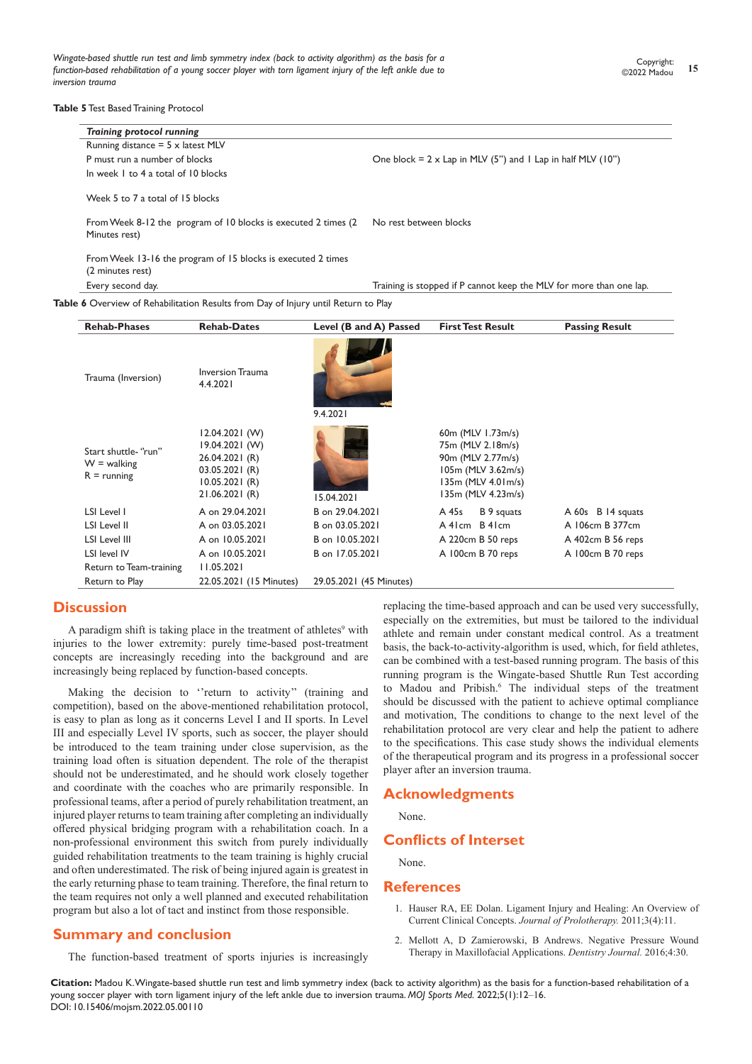*Wingate-based shuttle run test and limb symmetry index (back to activity algorithm) as the basis for a function-based rehabilitation of a young soccer player with torn ligament injury of the left ankle due to inversion trauma*

**Table 5** Test Based Training Protocol

| <b>Training protocol running</b>                                                 |                                                                     |
|----------------------------------------------------------------------------------|---------------------------------------------------------------------|
| Running distance $=$ 5 $\times$ latest MLV                                       |                                                                     |
| P must run a number of blocks                                                    | One block = $2 \times$ Lap in MLV (5") and 1 Lap in half MLV (10")  |
| In week 1 to 4 a total of 10 blocks                                              |                                                                     |
| Week 5 to 7 a total of 15 blocks                                                 |                                                                     |
| From Week 8-12 the program of 10 blocks is executed 2 times (2)<br>Minutes rest) | No rest between blocks                                              |
| From Week 13-16 the program of 15 blocks is executed 2 times<br>(2 minutes rest) |                                                                     |
| Every second day.                                                                | Training is stopped if P cannot keep the MLV for more than one lap. |

**Rehab-Phases Rehab-Dates Level (B and A) Passed First Test Result Passing Result** Trauma (Inversion) Inversion Trauma 4.4.2021 9.4.202 Start shuttle- "run"  $W =$  walking  $R =$  running 12.04.2021 (W) 19.04.2021 (W) 26.04.2021 (R) 03.05.2021 (R) 10.05.2021 (R) 21.06.2021 (R) 15.04.2021 60m (MLV 1.73m/s) 75m (MLV 2.18m/s) 90m (MLV 2.77m/s) 105m (MLV 3.62m/s) 135m (MLV 4.01m/s) 135m (MLV 4.23m/s) LSI Level 1 A on 29.04.2021 B on 29.04.2021 A 45s B 9 squats A 60s B 14 squats LSI Level II A on 03.05.2021 B on 03.05.2021 A 41cm B 41cm A 106cm B 377cm LSI Level III A on 10.05.2021 B on 10.05.2021 A 220cm B 50 reps A 402cm B 56 reps LSI level IV A on 10.05.2021 B on 17.05.2021 A 100cm B 70 reps A 100cm B 70 reps Return to Team-training 11.05.2021 Return to Play 22.05.2021 (15 Minutes) 29.05.2021 (45 Minutes)

# **Discussion**

A paradigm shift is taking place in the treatment of athletes<sup>9</sup> with injuries to the lower extremity: purely time-based post-treatment concepts are increasingly receding into the background and are increasingly being replaced by function-based concepts.

Making the decision to "return to activity" (training and competition), based on the above-mentioned rehabilitation protocol, is easy to plan as long as it concerns Level I and II sports. In Level III and especially Level IV sports, such as soccer, the player should be introduced to the team training under close supervision, as the training load often is situation dependent. The role of the therapist should not be underestimated, and he should work closely together and coordinate with the coaches who are primarily responsible. In professional teams, after a period of purely rehabilitation treatment, an injured player returns to team training after completing an individually offered physical bridging program with a rehabilitation coach. In a non-professional environment this switch from purely individually guided rehabilitation treatments to the team training is highly crucial and often underestimated. The risk of being injured again is greatest in the early returning phase to team training. Therefore, the final return to the team requires not only a well planned and executed rehabilitation program but also a lot of tact and instinct from those responsible.

# **Summary and conclusion**

The function-based treatment of sports injuries is increasingly

replacing the time-based approach and can be used very successfully, especially on the extremities, but must be tailored to the individual athlete and remain under constant medical control. As a treatment basis, the back-to-activity-algorithm is used, which, for field athletes, can be combined with a test-based running program. The basis of this running program is the Wingate-based Shuttle Run Test according to Madou and Pribish.<sup>6</sup> The individual steps of the treatment should be discussed with the patient to achieve optimal compliance and motivation, The conditions to change to the next level of the rehabilitation protocol are very clear and help the patient to adhere to the specifications. This case study shows the individual elements of the therapeutical program and its progress in a professional soccer player after an inversion trauma.

## **Acknowledgments**

None.

## **Conflicts of Interset**

None.

### **References**

- 1. [Hauser RA, EE Dolan. Ligament Injury and Healing: An Overview of](https://journalofprolotherapy.com/ligament-injury-and-healing-an-overview-of-current-clinical-concepts/)  [Current Clinical Concepts.](https://journalofprolotherapy.com/ligament-injury-and-healing-an-overview-of-current-clinical-concepts/) *Journal of Prolotherapy.* 2011;3(4):11.
- 2. [Mellott A, D Zamierowski, B Andrews. Negative Pressure Wound](https://www.ncbi.nlm.nih.gov/pmc/articles/PMC5806940/)  [Therapy in Maxillofacial Applications.](https://www.ncbi.nlm.nih.gov/pmc/articles/PMC5806940/) *Dentistry Journal.* 2016;4:30.

**Citation:** Madou K. Wingate-based shuttle run test and limb symmetry index (back to activity algorithm) as the basis for a function-based rehabilitation of a young soccer player with torn ligament injury of the left ankle due to inversion trauma. *MOJ Sports Med.* 2022;5(1):12‒16. DOI: [10.15406/mojsm.2022.05.00110](https://doi.org/10.15406/mojsm.2022.05.00110)